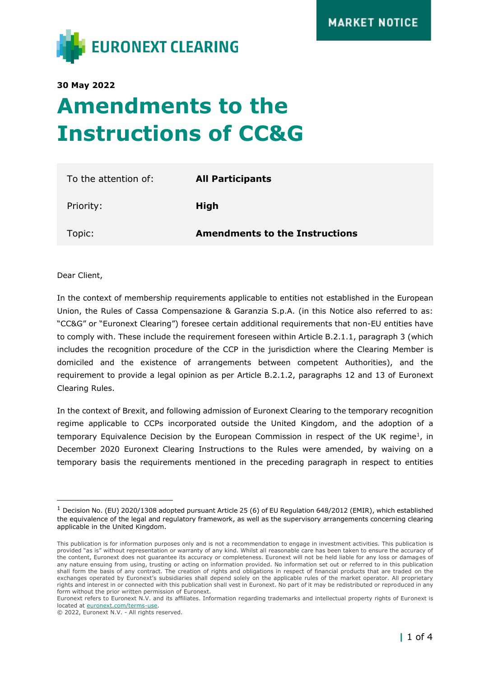

**30 May 2022**

# **Amendments to the Instructions of CC&G**

| To the attention of: | <b>All Participants</b>               |
|----------------------|---------------------------------------|
| Priority:            | High                                  |
| Topic:               | <b>Amendments to the Instructions</b> |

Dear Client,

In the context of membership requirements applicable to entities not established in the European Union, the Rules of Cassa Compensazione & Garanzia S.p.A. (in this Notice also referred to as: "CC&G" or "Euronext Clearing") foresee certain additional requirements that non-EU entities have to comply with. These include the requirement foreseen within Article B.2.1.1, paragraph 3 (which includes the recognition procedure of the CCP in the jurisdiction where the Clearing Member is domiciled and the existence of arrangements between competent Authorities), and the requirement to provide a legal opinion as per Article B.2.1.2, paragraphs 12 and 13 of Euronext Clearing Rules.

In the context of Brexit, and following admission of Euronext Clearing to the temporary recognition regime applicable to CCPs incorporated outside the United Kingdom, and the adoption of a temporary Equivalence Decision by the European Commission in respect of the UK regime<sup>1</sup>, in December 2020 Euronext Clearing Instructions to the Rules were amended, by waiving on a temporary basis the requirements mentioned in the preceding paragraph in respect to entities

 $1$  Decision No. (EU) 2020/1308 adopted pursuant Article 25 (6) of EU Regulation 648/2012 (EMIR), which established the equivalence of the legal and regulatory framework, as well as the supervisory arrangements concerning clearing applicable in the United Kingdom.

This publication is for information purposes only and is not a recommendation to engage in investment activities. This publication is provided "as is" without representation or warranty of any kind. Whilst all reasonable care has been taken to ensure the accuracy of the content, Euronext does not guarantee its accuracy or completeness. Euronext will not be held liable for any loss or damages of any nature ensuing from using, trusting or acting on information provided. No information set out or referred to in this publication shall form the basis of any contract. The creation of rights and obligations in respect of financial products that are traded on the exchanges operated by Euronext's subsidiaries shall depend solely on the applicable rules of the market operator. All proprietary rights and interest in or connected with this publication shall vest in Euronext. No part of it may be redistributed or reproduced in any form without the prior written permission of Euronext.

Euronext refers to Euronext N.V. and its affiliates. Information regarding trademarks and intellectual property rights of Euronext is located at [euronext.com/terms-use.](https://www.euronext.com/terms-use)

<sup>© 2022,</sup> Euronext N.V. - All rights reserved.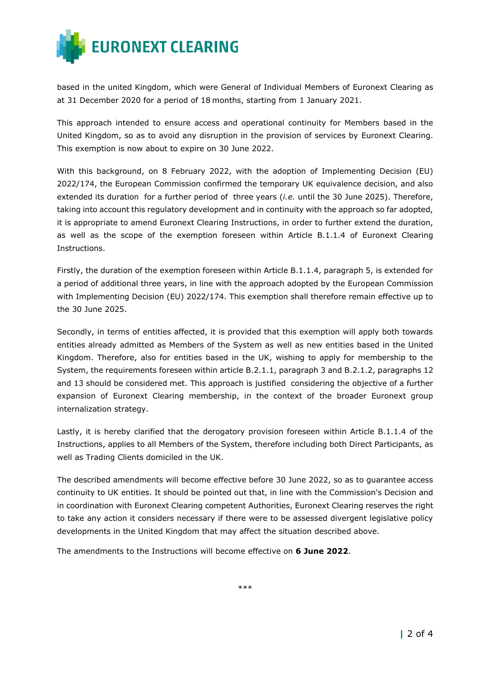

based in the united Kingdom, which were General of Individual Members of Euronext Clearing as at 31 December 2020 for a period of 18 months, starting from 1 January 2021.

This approach intended to ensure access and operational continuity for Members based in the United Kingdom, so as to avoid any disruption in the provision of services by Euronext Clearing. This exemption is now about to expire on 30 June 2022.

With this background, on 8 February 2022, with the adoption of Implementing Decision (EU) 2022/174, the European Commission confirmed the temporary UK equivalence decision, and also extended its duration for a further period of three years (*i.e.* until the 30 June 2025). Therefore, taking into account this regulatory development and in continuity with the approach so far adopted, it is appropriate to amend Euronext Clearing Instructions, in order to further extend the duration, as well as the scope of the exemption foreseen within Article B.1.1.4 of Euronext Clearing Instructions.

Firstly, the duration of the exemption foreseen within Article B.1.1.4, paragraph 5, is extended for a period of additional three years, in line with the approach adopted by the European Commission with Implementing Decision (EU) 2022/174. This exemption shall therefore remain effective up to the 30 June 2025.

Secondly, in terms of entities affected, it is provided that this exemption will apply both towards entities already admitted as Members of the System as well as new entities based in the United Kingdom. Therefore, also for entities based in the UK, wishing to apply for membership to the System, the requirements foreseen within article B.2.1.1, paragraph 3 and B.2.1.2, paragraphs 12 and 13 should be considered met. This approach is justified considering the objective of a further expansion of Euronext Clearing membership, in the context of the broader Euronext group internalization strategy.

Lastly, it is hereby clarified that the derogatory provision foreseen within Article B.1.1.4 of the Instructions, applies to all Members of the System, therefore including both Direct Participants, as well as Trading Clients domiciled in the UK.

The described amendments will become effective before 30 June 2022, so as to guarantee access continuity to UK entities. It should be pointed out that, in line with the Commission's Decision and in coordination with Euronext Clearing competent Authorities, Euronext Clearing reserves the right to take any action it considers necessary if there were to be assessed divergent legislative policy developments in the United Kingdom that may affect the situation described above.

The amendments to the Instructions will become effective on **6 June 2022**.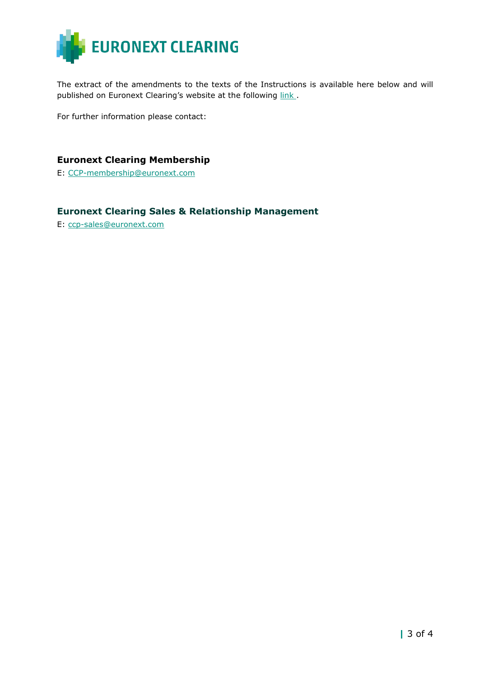

The extract of the amendments to the texts of the Instructions is available here below and will published on Euronext Clearing's website at the following link.

For further information please contact:

#### **Euronext Clearing Membership**

E: [CCP-membership@euronext.com](mailto:CCP-membership@euronext.com)

### **Euronext Clearing Sales & Relationship Management**

E: [ccp-sales@euronext.com](mailto:ccp-sales@euronext.com)